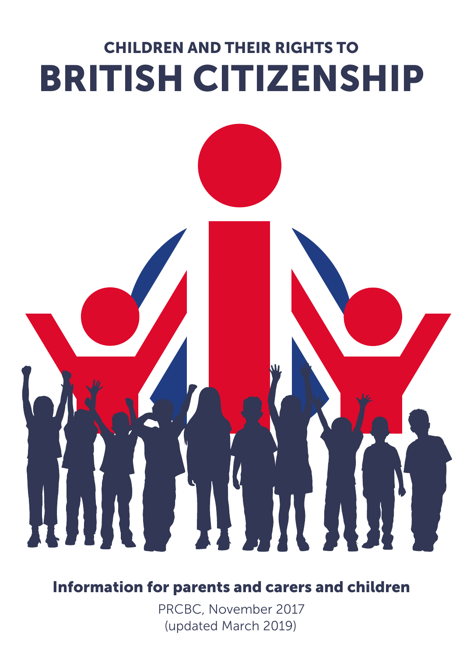# CHILDREN AND THEIR RIGHTS TO BRITISH CITIZENSHIP

### Information for parents and carers and children

PRCBC, November 2017 (updated March 2019)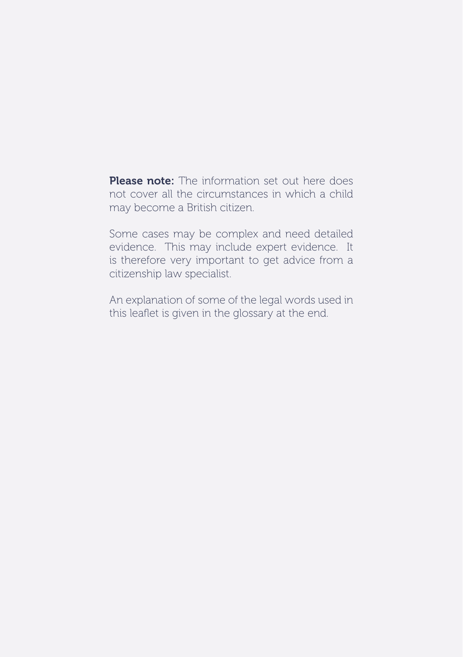Please note: The information set out here does not cover all the circumstances in which a child may become a British citizen.

Some cases may be complex and need detailed evidence. This may include expert evidence. It is therefore very important to get advice from a citizenship law specialist.

An explanation of some of the legal words used in this leaflet is given in the glossary at the end.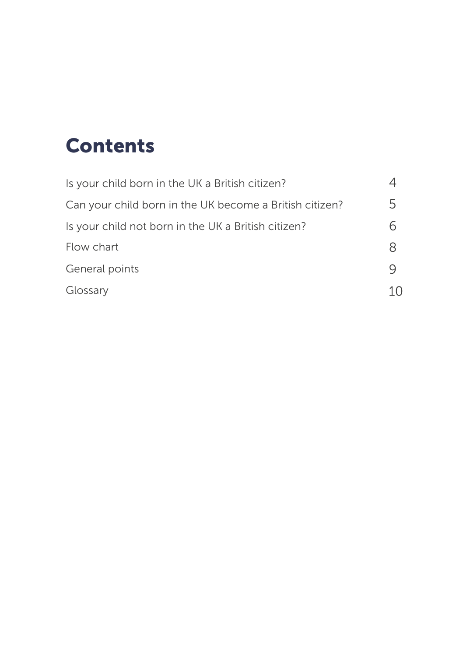# Contents

| Is your child born in the UK a British citizen?         |    |
|---------------------------------------------------------|----|
| Can your child born in the UK become a British citizen? | 5  |
| Is your child not born in the UK a British citizen?     | 6  |
| Flow chart                                              | 8  |
| General points                                          | Ч  |
| Glossary                                                | 10 |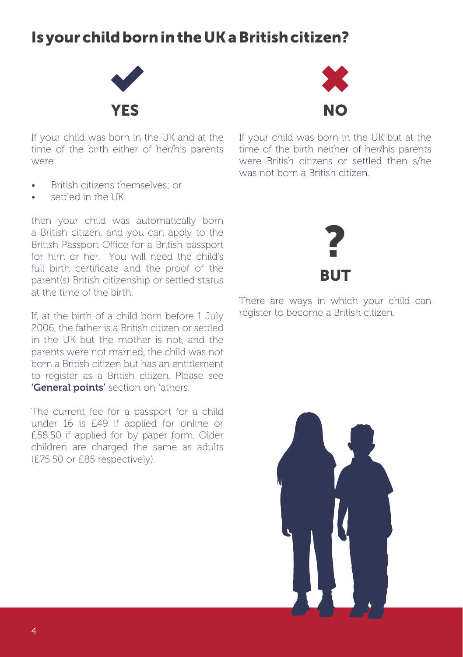# Is your child born in the UK a British citizen?



If your child was born in the UK and at the time of the birth either of her/his parents were:

- If your child was born in the UK but at the time of the birth neither of her/his parents were British citizens or settled then s/he was not born a British citizen.
- British citizens themselves; or
- settled in the UK.

then your child was automatically born a British citizen, and you can apply to the British Passport Office for a British passport for him or her. You will need the child's full birth certificate and the proof of the parent(s) British citizenship or settled status at the time of the birth.

If, at the birth of a child born before 1 July 2006, the father is a British citizen or settled in the UK but the mother is not, and the parents were not married, the child was not born a British citizen but has an entitlement to register as a British citizen. Please see 'General points' section on fathers.

The current fee for a passport for a child under 16 is £49 if applied for online or £58.50 if applied for by paper form. Older children are charged the same as adults (£75.50 or £85 respectively).



There are ways in which your child can register to become a British citizen.

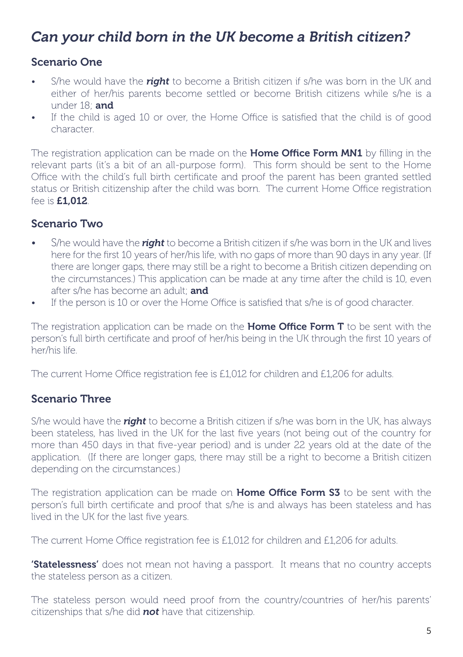# *Can your child born in the UK become a British citizen?*

### Scenario One

- S/he would have the *right* to become a British citizen if s/he was born in the UK and either of her/his parents become settled or become British citizens while s/he is a under 18<sup>;</sup> and
- If the child is aged 10 or over, the Home Office is satisfied that the child is of good character.

The registration application can be made on the Home Office Form MN1 by filling in the relevant parts (it's a bit of an all-purpose form). This form should be sent to the Home Office with the child's full birth certificate and proof the parent has been granted settled status or British citizenship after the child was born. The current Home Office registration fee is £1,012.

### Scenario Two

- S/he would have the *right* to become a British citizen if s/he was born in the UK and lives here for the first 10 years of her/his life, with no gaps of more than 90 days in any year. (If there are longer gaps, there may still be a right to become a British citizen depending on the circumstances.) This application can be made at any time after the child is 10, even after s/he has become an adult; and
- If the person is 10 or over the Home Office is satisfied that s/he is of good character.

The registration application can be made on the Home Office Form T to be sent with the person's full birth certificate and proof of her/his being in the UK through the first 10 years of her/his life.

The current Home Office registration fee is £1,012 for children and £1,206 for adults.

### Scenario Three

S/he would have the *right* to become a British citizen if s/he was born in the UK, has always been stateless, has lived in the UK for the last five years (not being out of the country for more than 450 days in that five-year period) and is under 22 years old at the date of the application. (If there are longer gaps, there may still be a right to become a British citizen depending on the circumstances.)

The registration application can be made on Home Office Form S3 to be sent with the person's full birth certificate and proof that s/he is and always has been stateless and has lived in the UK for the last five years.

The current Home Office registration fee is £1,012 for children and £1,206 for adults.

**'Statelessness'** does not mean not having a passport. It means that no country accepts the stateless person as a citizen.

The stateless person would need proof from the country/countries of her/his parents' citizenships that s/he did *not* have that citizenship.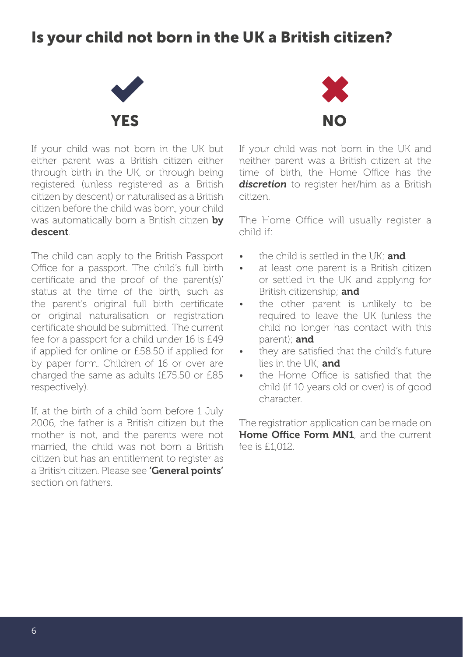# Is your child not born in the UK a British citizen?



If your child was not born in the UK but either parent was a British citizen either through birth in the UK, or through being registered (unless registered as a British citizen by descent) or naturalised as a British citizen before the child was born, your child was automatically born a British citizen by descent.

The child can apply to the British Passport Office for a passport. The child's full birth certificate and the proof of the parent(s)' status at the time of the birth, such as the parent's original full birth certificate or original naturalisation or registration certificate should be submitted. The current fee for a passport for a child under 16 is £49 if applied for online or £58.50 if applied for by paper form. Children of 16 or over are charged the same as adults (£75.50 or £85 respectively).

If, at the birth of a child born before 1 July 2006, the father is a British citizen but the mother is not, and the parents were not married, the child was not born a British citizen but has an entitlement to register as a British citizen. Please see 'General points' section on fathers.



If your child was not born in the UK and neither parent was a British citizen at the time of birth, the Home Office has the *discretion* to register her/him as a British citizen.

The Home Office will usually register a child if:

- the child is settled in the  $\mathsf{I} \mathsf{K}^{\mathsf{I}}$  and
- at least one parent is a British citizen or settled in the UK and applying for British citizenship; and
- the other parent is unlikely to be required to leave the UK (unless the child no longer has contact with this parent); and
- they are satisfied that the child's future lies in the  $UK$  and
- the Home Office is satisfied that the child (if 10 years old or over) is of good character.

The registration application can be made on Home Office Form MN1, and the current fee is  $f1012$ .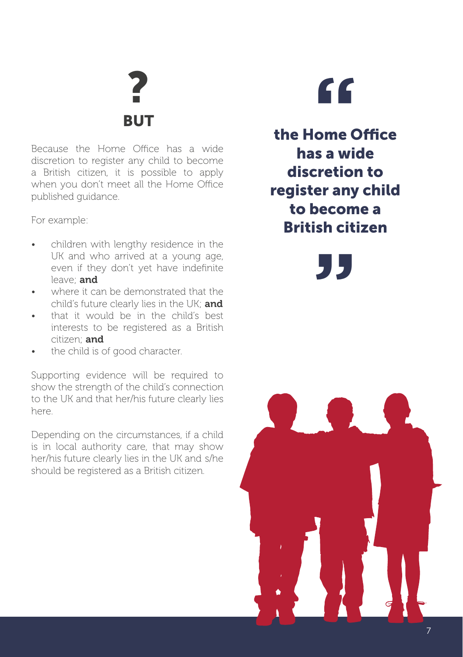**RUT** 

Because the Home Office has a wide discretion to register any child to become a British citizen, it is possible to apply when you don't meet all the Home Office published guidance.

For example:

- children with lengthy residence in the UK and who arrived at a young age, even if they don't yet have indefinite leave; and
- where it can be demonstrated that the child's future clearly lies in the UK; and
- that it would be in the child's best interests to be registered as a British citizen; and
- the child is of good character.

Supporting evidence will be required to show the strength of the child's connection to the UK and that her/his future clearly lies here.

Depending on the circumstances, if a child is in local authority care, that may show her/his future clearly lies in the UK and s/he should be registered as a British citizen.

**P**<br>**BUT**<br>Office has a wide<br>**the Home C** the Home Office has a wide discretion to register any child to become a British citizen

**"**

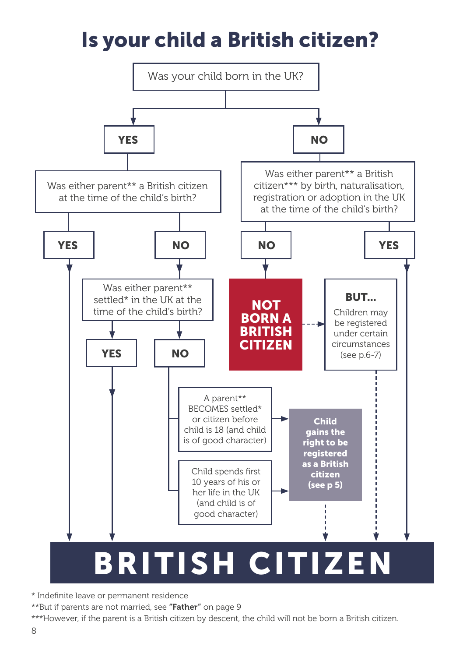# Is your child a British citizen?



\* Indefinite leave or permanent residence

\*\*But if parents are not married, see "Father" on page 9

\*\*\*However, if the parent is a British citizen by descent, the child will not be born a British citizen.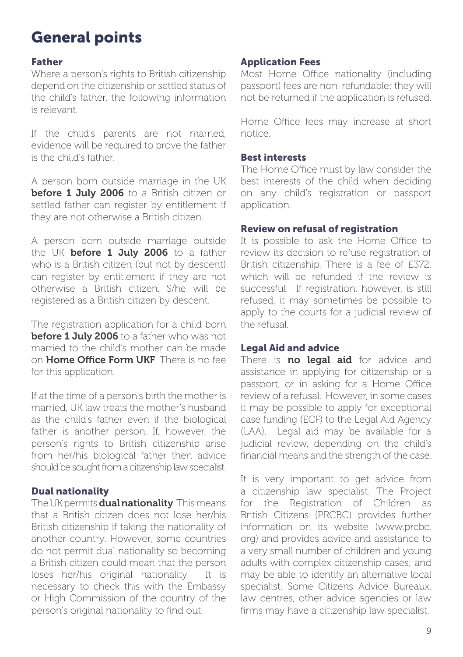# General points

### Father

Where a person's rights to British citizenship depend on the citizenship or settled status of the child's father, the following information is relevant.

If the child's parents are not married, evidence will be required to prove the father is the child's father.

A person born outside marriage in the UK before 1 July 2006 to a British citizen or settled father can register by entitlement if they are not otherwise a British citizen.

A person born outside marriage outside the UK **before 1 July 2006** to a father who is a British citizen (but not by descent) can register by entitlement if they are not otherwise a British citizen. S/he will be registered as a British citizen by descent.

The registration application for a child born before 1 July 2006 to a father who was not married to the child's mother can be made on Home Office Form UKF. There is no fee for this application.

If at the time of a person's birth the mother is married, UK law treats the mother's husband as the child's father even if the biological father is another person. If, however, the person's rights to British citizenship arise from her/his biological father then advice should be sought from a citizenship law specialist.

### Dual nationality

The UK permits **dual nationality**. This means that a British citizen does not lose her/his British citizenship if taking the nationality of another country. However, some countries do not permit dual nationality so becoming a British citizen could mean that the person loses her/his original nationality. It is necessary to check this with the Embassy or High Commission of the country of the person's original nationality to find out.

### Application Fees

Most Home Office nationality (including passport) fees are non-refundable: they will not be returned if the application is refused.

Home Office fees may increase at short notice.

### Best interests

The Home Office must by law consider the best interests of the child when deciding on any child's registration or passport application.

### Review on refusal of registration

It is possible to ask the Home Office to review its decision to refuse registration of British citizenship. There is a fee of £372, which will be refunded if the review is successful. If registration, however, is still refused, it may sometimes be possible to apply to the courts for a judicial review of the refusal.

### Legal Aid and advice

There is **no legal aid** for advice and assistance in applying for citizenship or a passport, or in asking for a Home Office review of a refusal. However, in some cases it may be possible to apply for exceptional case funding (ECF) to the Legal Aid Agency (LAA). Legal aid may be available for a judicial review, depending on the child's financial means and the strength of the case.

It is very important to get advice from a citizenship law specialist. The Project for the Registration of Children as British Citizens (PRCBC) provides further information on its website (www.prcbc. org) and provides advice and assistance to a very small number of children and young adults with complex citizenship cases; and may be able to identify an alternative local specialist. Some Citizens Advice Bureaux, law centres, other advice agencies or law firms may have a citizenship law specialist.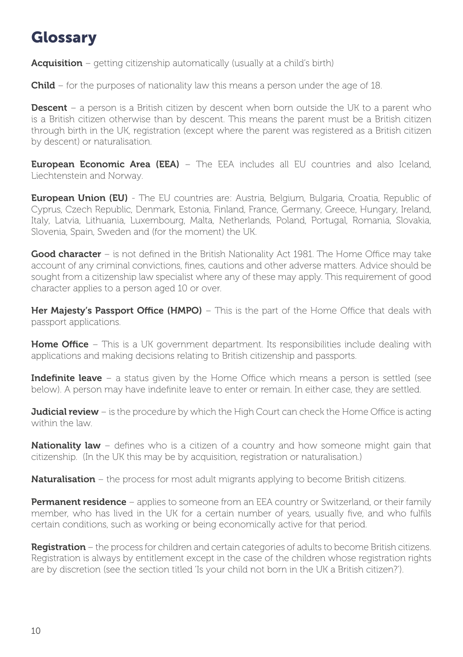# Glossary

**Acquisition** – getting citizenship automatically (usually at a child's birth)

**Child** – for the purposes of nationality law this means a person under the age of 18.

**Descent** – a person is a British citizen by descent when born outside the UK to a parent who is a British citizen otherwise than by descent. This means the parent must be a British citizen through birth in the UK, registration (except where the parent was registered as a British citizen by descent) or naturalisation.

**European Economic Area (EEA)** – The EEA includes all EU countries and also Iceland, Liechtenstein and Norway.

European Union (EU) - The EU countries are: Austria, Belgium, Bulgaria, Croatia, Republic of Cyprus, Czech Republic, Denmark, Estonia, Finland, France, Germany, Greece, Hungary, Ireland, Italy, Latvia, Lithuania, Luxembourg, Malta, Netherlands, Poland, Portugal, Romania, Slovakia, Slovenia, Spain, Sweden and (for the moment) the UK.

Good character – is not defined in the British Nationality Act 1981. The Home Office may take account of any criminal convictions, fines, cautions and other adverse matters. Advice should be sought from a citizenship law specialist where any of these may apply. This requirement of good character applies to a person aged 10 or over.

Her Majesty's Passport Office (HMPO) – This is the part of the Home Office that deals with passport applications.

**Home Office** – This is a UK government department. Its responsibilities include dealing with applications and making decisions relating to British citizenship and passports.

**Indefinite leave** – a status given by the Home Office which means a person is settled (see below). A person may have indefinite leave to enter or remain. In either case, they are settled.

**Judicial review** – is the procedure by which the High Court can check the Home Office is acting within the law.

**Nationality law** – defines who is a citizen of a country and how someone might gain that citizenship. (In the UK this may be by acquisition, registration or naturalisation.)

**Naturalisation** – the process for most adult migrants applying to become British citizens.

**Permanent residence** – applies to someone from an EEA country or Switzerland, or their family member, who has lived in the UK for a certain number of years, usually five, and who fulfils certain conditions, such as working or being economically active for that period.

Registration – the process for children and certain categories of adults to become British citizens. Registration is always by entitlement except in the case of the children whose registration rights are by discretion (see the section titled 'Is your child not born in the UK a British citizen?').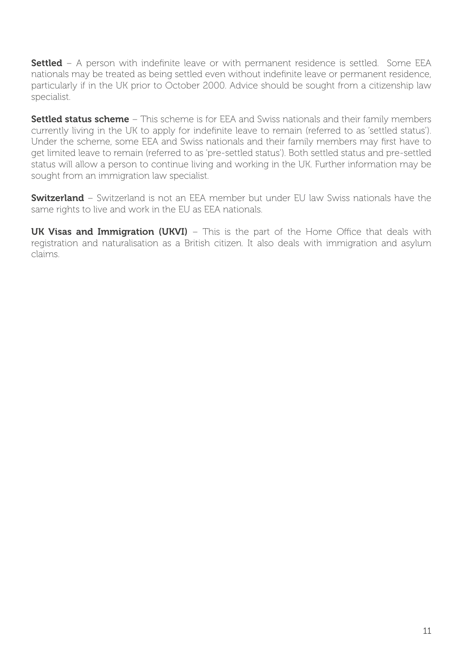**Settled** – A person with indefinite leave or with permanent residence is settled. Some EEA nationals may be treated as being settled even without indefinite leave or permanent residence, particularly if in the UK prior to October 2000. Advice should be sought from a citizenship law specialist.

Settled status scheme – This scheme is for EEA and Swiss nationals and their family members currently living in the UK to apply for indefinite leave to remain (referred to as 'settled status'). Under the scheme, some EEA and Swiss nationals and their family members may first have to get limited leave to remain (referred to as 'pre-settled status'). Both settled status and pre-settled status will allow a person to continue living and working in the UK. Further information may be sought from an immigration law specialist.

**Switzerland** – Switzerland is not an EEA member but under EU law Swiss nationals have the same rights to live and work in the EU as EEA nationals.

UK Visas and Immigration (UKVI) – This is the part of the Home Office that deals with registration and naturalisation as a British citizen. It also deals with immigration and asylum claims.